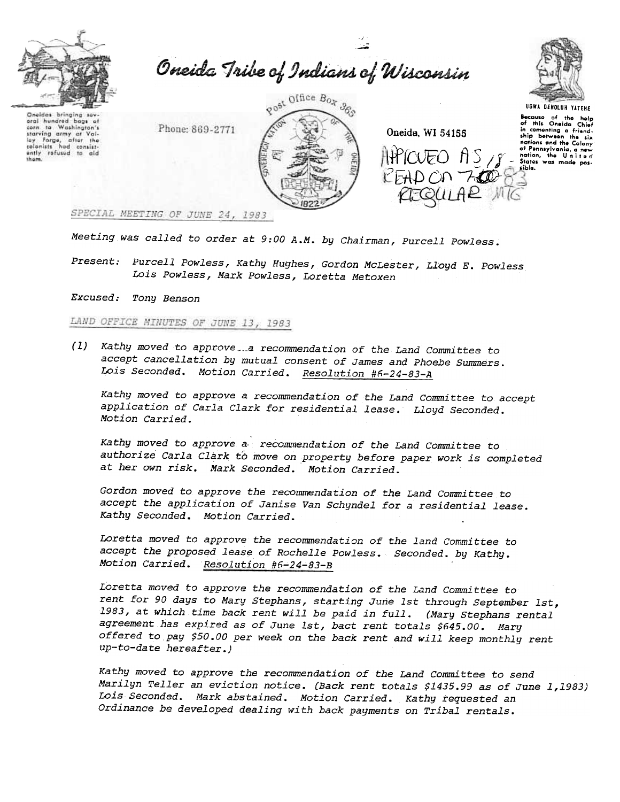

.<br>م -"" Oneida Tribe of Indians of Wisconsin

"

Oneidas bringing sovoral hundrod bags of ta Washington's  $\epsilon$ starving army starving army at Val-<br>lay Forge, after the<br>colonists had consist-<br>ently refused to aid<br>them.  $at$ 

gost Office Box 365 Phone: 869-2771

Oneida. WI 54155 **and in comenting a friend-** $\left|\mathcal{W}\right| \cap \left(\overline{F}\cap A\right) \cap \left(\overline{F}\cap A\right)$  $\mathcal{H}(\text{OUEO} \parallel S \mid S \mid S \text{action, the United pairs}$ <br> $\mathcal{F} = \text{State} \parallel S \text{ model}$ 



UGWA DEHDlUH YATEHE

kcauso of tho holp of thl. Oneida Chief nations and the Colony<br>of Pennsylvania, a new<br>nation, the United<br>States was made pos-

SPECIAL MEETING OF JUNE 24, 1983

Meeting was called to order at 9:00 A.M. by Chairman, Purcell Powless.

Present: Purcell Powless, Kathy Hughes, Gordon McLester, Lloyd E. Powless Lois Powless, Mark Powless, Loretta Metoxen

 $(1)$  Kathy moved to approve  $\ldots$  recommendation of the Land Committee to accept cancellation by mutual consent of James and Phoebe Summers. Lois Seconded. Motion Carried. Resolution #6-24-83-A

Kathy moved to approve a recommendation of the Land Committee to accept application of Carla Clark for residential lease. Lloyd Seconded. Motion Carried.

Kathy moved to approve a, recommendation of the Land Committee to authorize Carla Clark to move on property before paper work is completed at her own risk. Mark Seconded. Motion Carried.

Gordon moved to approve the recommendation of the Land Committee to accept the application of Janise Van Schyndel for a residential lease. Kathy Seconded. Motion Carried.

Loretta moved to approve the recommendation of the land Cowmittee to accept the proposed lease of Rochelle Powless. Seconded. by Kathy. Motion Carried. Resolution #6~24~83-B

EXCUSED: Tony Benson<br>
LAND OFFICE MINUTES<br>
(1) Kathy moved to<br>
accept cancelli<br>
Lois Seconded.<br>
Kathy moved to<br>
application of<br>
Motion Carried.<br>
Kathy moved to<br>
authorize Carli<br>
at her own risk<br>
Gordon moved to<br>
accept the Loretta moved to approve the recommendation of the Land Committee to rent for 90 days to Mary Stephans, starting June 1st through September 1st, 1983, at which time back rent will be paid in full. (Mary Stephans rental agreement has expired as of June 1st, bact rent totals \$645.00. Mary offered to pay \$50.00 per week on the back rent and will keep monthly rent up-to-date hereafter.)

Kathy moved to approve the recommendation of the Land Committee to send Marilyn Teller an eviction notice. (Back rent totals \$1435.99 as of June 1,1983) Lois Seconded. Mark abstained. Motion Carried. Kathy requested an Ordinance be developed dealing with back payments on Tribal rentals.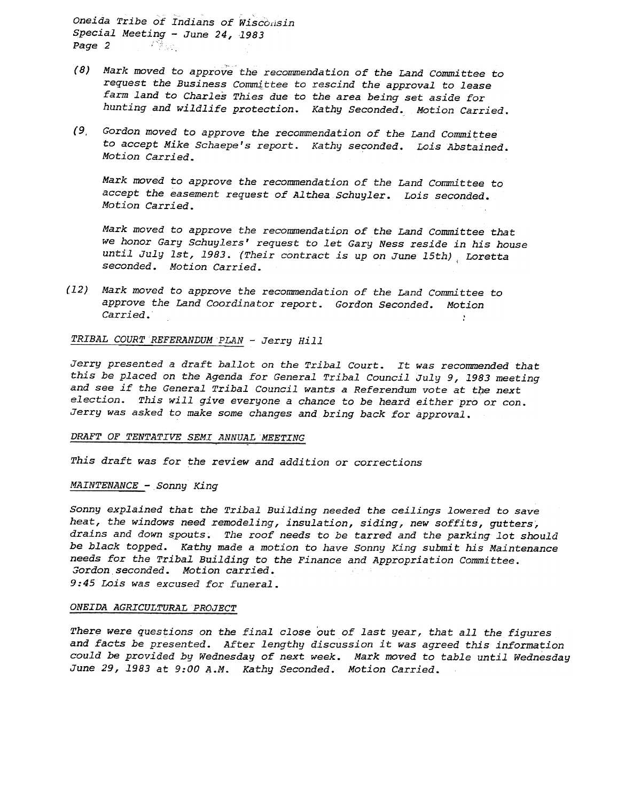Oneida Tribe of Indians of Wisconsi Special Meeting - June 24, 1983 Page 2  $\mathbb{Z}$ 

- $(8)$  Mark moved to approve the recommendation of the Land Committee to request the Business Committee to rescind the approval to lease farm land to Charles Thies due to the area being set aside for hunting and wildlife protection. Kathy Seconded. Motion Carried.
- (9, Gordon moved to approve the recommendation of the Land Committee to accept Mike Schaepe's report. Kathy seconded. Lois Abstained. Motion Carried.

Mark moved to approve the recommendation of the Land Committee to accept the easement request of Althea Schuyler. Lois seconded. Motion Carried.

Mark moved to approve the recommendation of the Land Committee that we honor Gary Schuylers' request to let Gary Ness reside in his house until July 1st, 1983. (Their contract is up on June 15th), Loretta seconded. Motion Carried.

(12) Mark moved to approve the recommendation of the Land Committee to approve the Land Coordinator report. Gordon Seconded. Motion  $\emph{Carried.}$ 

TRIBAL COURT REFERANDUM PLAN - Jerry Hill

Jerry presented a draft ballot on the Tribal Court. It was recommended that this be placed on the Agenda for General Tribal Council July 9, 1983 meeting and see if the General Tribal Council wants a Referendum vote at the next election. This will give everyone a chance to be heard either pro or con. Jerry was asked to make some changes and bring back for approval.

### DRAFT OF TENTATIVE SEMI ANNUAL MEETING

This draft was for the review and addition or corrections

### MAINTENANCE - Sonny King

Sonny explained that the Tribal Building needed the ceilings lowered to save heat, the windows need remodeling, insulation, siding, new soffits, gutters, drains and down spouts. The roof needs to be tarred and the parking lot should be black topped. Kathy made a motion to have Sonny King submit his Maintenance needs for the TribaL Builqing to the Finance and Appropriation Committee. Gordon seconded. Motion carried. 9:45 Lois was excused for funeral.

### ONEIDA AGRICULTURAL PROJECT

There were questions on the final close out of last year, that all the figures and facts be presented. After lengthy discussion it was agreed this information could be provided by Wednesday of next week. Mark moved to table until Wednesday June 29, 1983 at 9:00 A.M. Kathy Seconded. Motion Carried.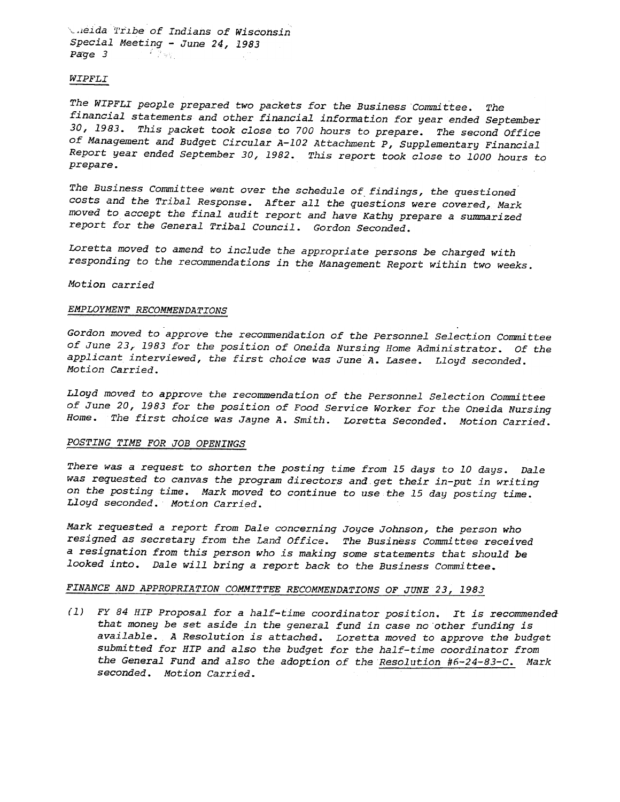.1eida 1'r.lbe of Indians of Wisconsin  $Special$  Meeting - June 24, 1983  $Page 3$  . The set of  $Type 3$ 

### WIPFLI

The WIPFLI people prepared two packets for the Business Committee. The financial statements and other financial information for year ended September 30,1983. This packet took close to 700 hours to prepare. The second Office of Management and Budget Circular A-102 Attachment P, Supplementary Financial Report year ended September 30, 1982. This report took close to 1000 hours to prepare.

The Business Committee went over the schedule of findings, the questioned costs and the Tribal Response. After all the questions were covered, Mark moved to accept the final audit report and have Kathy prepare a summarized report for the General Tribal Council. Gordon Seconded.

Loretta moved to amend to include the appropriate persons be charged with responding to the recommendations in the Management Report within two weeks.

Motion carried

#### EMPLOYMENT RECOMMENDATIONS

Gordon moved to approve the recommendation of the Personnel Selection Committee of June 23,1983 for the position of Oneida Nursing Home Administrator. Of the applicant interviewed, the first choice was June A. Lasee. Lloyd seconded. Motion Carried.

Lloyd moved to approve the recommendation of the Personnel Selection Committee of June 20, 1983 for the position of Food Service Worker for the Oneida Nursing Home. The first choice was Jayne A. Smith. Loretta Seconded. Motion Carried.

### POSTING TIME FOR JOB OPENINGS

There was a request to shorten the posting time from 15 days to 10 days. Dale was requested to canvas the program directors and get their in-put in writing on the posting time. Mark moved to continue to use the 15 day posting time. Lloyd seconded. Motion Carried.

Mark requested a report from Dale concerning Joyce Johnson, the person who resigned as secretary from the Land Office. The Business Committee received a resignation from this person who is making some statements that should be looked into. Dale will bring a report back to the Business Committee.

# FINANCE AND APPROPRIATION COMMITTEE RECOMMENDATIONS OF JUNE 23, 1983

(1) FY 84 HIP Proposal for a half-time coordinator position. It is recommendedthat money be set aside in the general fund in case no other funding is available. A Resolution is attached. Loretta moved to approve the budget submitted for HIP and also the budget for the half-time coordinator from the General Fund and also the adoption of the Resolution #6-24-83-C. Mark seconded. Motion Carried.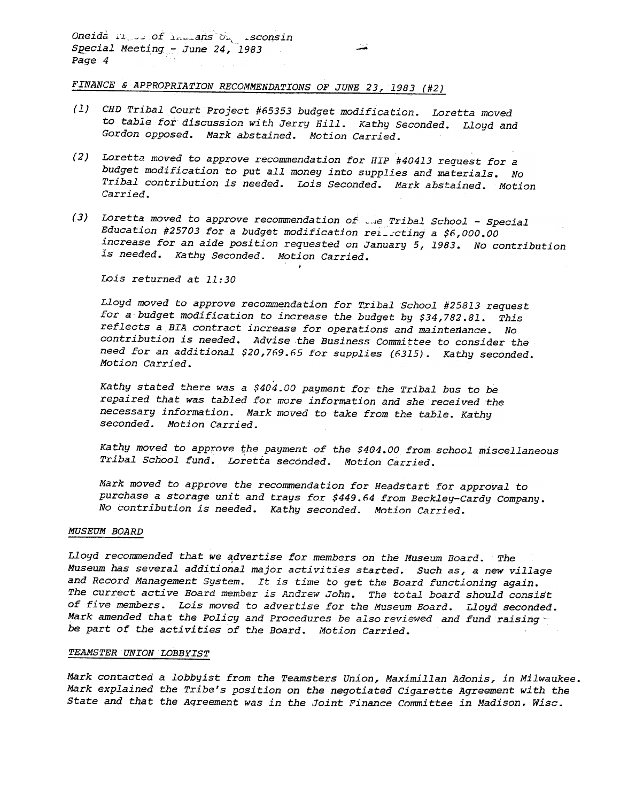Oneida II of Increas Or 1sconsi Special Meeting - June 24, 1983 Page 4

FINANCE & APPROPRIATION RECOMMENDATIONS OF JUNE 23, 1983 (#2

- (1) CHD Tribal Court Project #65353 budget modification. Loretta moved to table for discussion with Jerry Hill. Kathy Seconded. Lloyd and Gordon opposed. Mark abstained. Motion Carried.
- (2) Loretta moved to approve recommendation for HIP #40413 request for a budget modification to put all money into supplies and materials. No Tribal contribution is needed. Lois Seconded. Mark abstained. Motion Carried.
- (3) Loretta moved to approve recommendation of  $\mathbb{R}^d$  and School Special School Special School Special School Special School Special School Special School Special School Special School Special School Education #25703 for a budget modification releasting a \$6,000.00 increase for an aide position requested on January 5, 1983. No contribution is needed. Kathy Seconded. Motion Carrie ,

Lois returned at 11:30

Lloyd moved to approve recommendation for Tribal School #25813 request for a budget modification to increase the budget by \$34,782.81. This reflects a BIA contract increase for operations and maintenance. No contribution is needed. Advise the Business Committee to consider the need for an additional \$20,769.65 for supplies (6315). Kathy seconded. Motion Carried.

Kathy stated there was a \$404.00 payment for the Tribal bus to be repaired that was tabled for more information and she received the necessary information. Mark moved to take from the table. Kathy seconded. Motion Carried.

Kathy moved to approve the payment of the \$404.00 from school miscellaneous Tribal School fund. LOretta seconded. Motion Carried.

Mark moved to approve the recommendation for Headstart for approval to purchase a storage unit and trays for \$449.64 from Beckley-Cardy Company. No contribution is needed. Kathy seconded. Motion Carried.

### MUSEUM BOARD

Lloyd recommended that we advertise for members on the Museum Board. The Museum has several additional major activities started. Such as, a new village and Record Management System. It is time to get the Board functioning again. The currect active Board member is Andrew John. The total board should consist of five members. Lois moved to advertise for the Museum Board. Lloyd seconded. Mark amended that the Policy and Procedures be also reviewed and fund raising  $\sim$ be part of the activities of the Board. Motion Carried.

### TEAMSTER UNION LOBBYIST

Mark contacted a lobbyist from the Teamsters Union, Maximillan Adonis, in Milwaukee. Mark explained the Tribe's position on the negotiated Cigarette Agreement with the State and that the Agreement was in the Joint Finance Committee in Madison, Wisc.